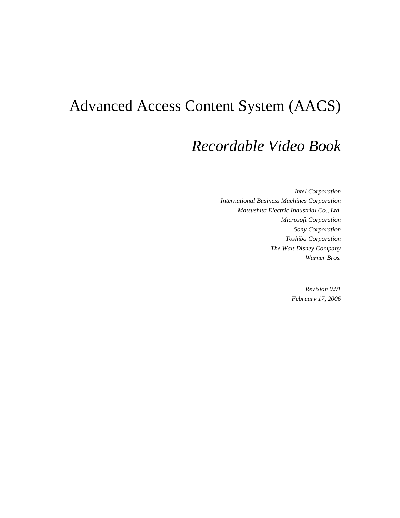# Advanced Access Content System (AACS)

## *Recordable Video Book*

*Intel Corporation International Business Machines Corporation Matsushita Electric Industrial Co., Ltd. Microsoft Corporation Sony Corporation Toshiba Corporation The Walt Disney Company Warner Bros.* 

> *Revision 0.91 February 17, 2006*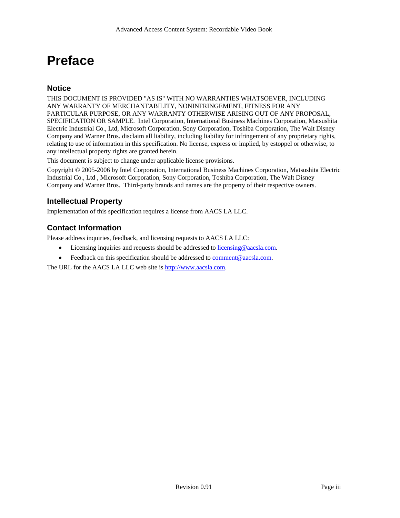# **Preface**

#### **Notice**

THIS DOCUMENT IS PROVIDED "AS IS" WITH NO WARRANTIES WHATSOEVER, INCLUDING ANY WARRANTY OF MERCHANTABILITY, NONINFRINGEMENT, FITNESS FOR ANY PARTICULAR PURPOSE, OR ANY WARRANTY OTHERWISE ARISING OUT OF ANY PROPOSAL, SPECIFICATION OR SAMPLE. Intel Corporation, International Business Machines Corporation, Matsushita Electric Industrial Co., Ltd, Microsoft Corporation, Sony Corporation, Toshiba Corporation, The Walt Disney Company and Warner Bros. disclaim all liability, including liability for infringement of any proprietary rights, relating to use of information in this specification. No license, express or implied, by estoppel or otherwise, to any intellectual property rights are granted herein.

This document is subject to change under applicable license provisions.

Copyright © 2005-2006 by Intel Corporation, International Business Machines Corporation, Matsushita Electric Industrial Co., Ltd , Microsoft Corporation, Sony Corporation, Toshiba Corporation, The Walt Disney Company and Warner Bros. Third-party brands and names are the property of their respective owners.

#### **Intellectual Property**

Implementation of this specification requires a license from AACS LA LLC.

#### **Contact Information**

Please address inquiries, feedback, and licensing requests to AACS LA LLC:

- Licensing inquiries and requests should be addressed to licensing@aacsla.com.
- Feedback on this specification should be addressed to comment@aacsla.com.

The URL for the AACS LA LLC web site is http://www.aacsla.com.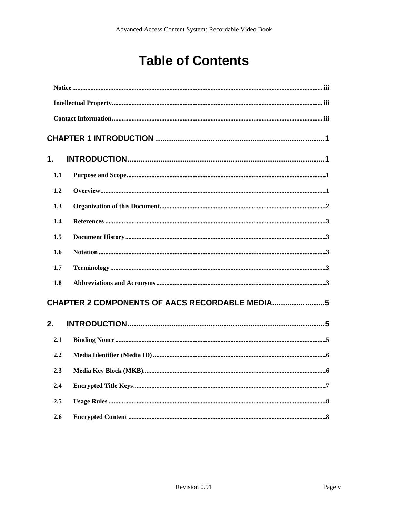# **Table of Contents**

| 1.  |                                                |  |
|-----|------------------------------------------------|--|
| 1.1 |                                                |  |
| 1.2 |                                                |  |
| 1.3 |                                                |  |
| 1.4 |                                                |  |
| 1.5 |                                                |  |
| 1.6 |                                                |  |
| 1.7 |                                                |  |
| 1.8 |                                                |  |
|     | CHAPTER 2 COMPONENTS OF AACS RECORDABLE MEDIA5 |  |
| 2.  |                                                |  |
| 2.1 |                                                |  |
| 2.2 |                                                |  |
| 2.3 |                                                |  |
| 2.4 |                                                |  |
| 2.5 |                                                |  |
| 2.6 |                                                |  |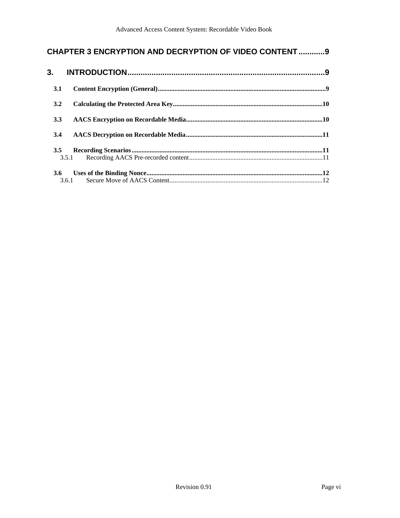### **CHAPTER 3 ENCRYPTION AND DECRYPTION OF VIDEO CONTENT .............9**

| 3.         |       |  |
|------------|-------|--|
| <b>3.1</b> |       |  |
| 3.2        |       |  |
| 3.3        |       |  |
| 3.4        |       |  |
| 3.5        | 3.5.1 |  |
| 3.6        |       |  |
|            | 3.6.1 |  |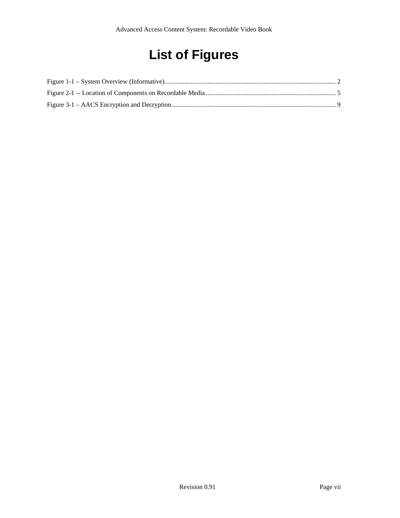# **List of Figures**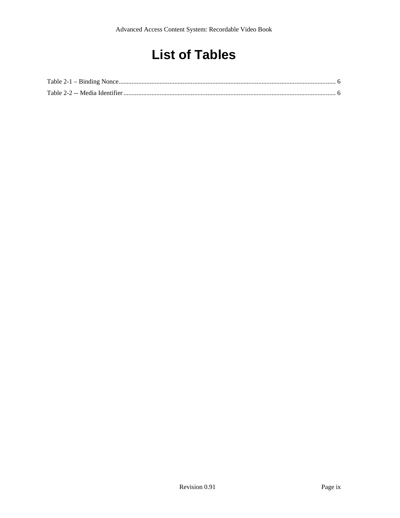# **List of Tables**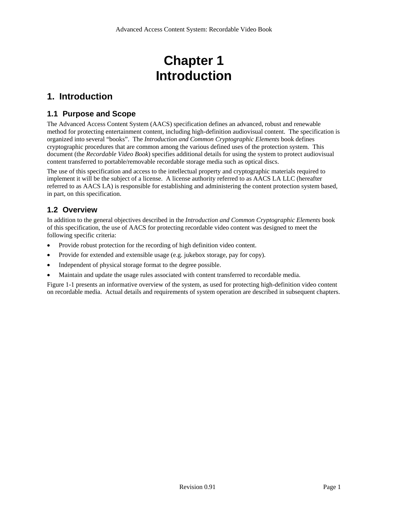## **Chapter 1 Introduction**

### **1. Introduction**

#### **1.1 Purpose and Scope**

The Advanced Access Content System (AACS) specification defines an advanced, robust and renewable method for protecting entertainment content, including high-definition audiovisual content. The specification is organized into several "books". The *Introduction and Common Cryptographic Elements* book defines cryptographic procedures that are common among the various defined uses of the protection system. This document (the *Recordable Video Book*) specifies additional details for using the system to protect audiovisual content transferred to portable/removable recordable storage media such as optical discs.

The use of this specification and access to the intellectual property and cryptographic materials required to implement it will be the subject of a license. A license authority referred to as AACS LA LLC (hereafter referred to as AACS LA) is responsible for establishing and administering the content protection system based, in part, on this specification.

#### **1.2 Overview**

In addition to the general objectives described in the *Introduction and Common Cryptographic Elements* book of this specification, the use of AACS for protecting recordable video content was designed to meet the following specific criteria:

- Provide robust protection for the recording of high definition video content.
- Provide for extended and extensible usage (e.g. jukebox storage, pay for copy).
- Independent of physical storage format to the degree possible.
- Maintain and update the usage rules associated with content transferred to recordable media.

Figure 1-1 presents an informative overview of the system, as used for protecting high-definition video content on recordable media. Actual details and requirements of system operation are described in subsequent chapters.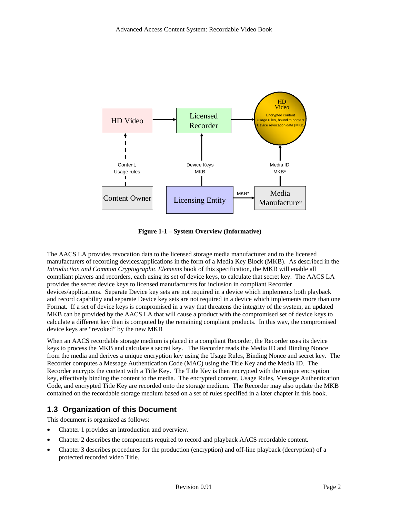

**Figure 1-1 – System Overview (Informative)** 

The AACS LA provides revocation data to the licensed storage media manufacturer and to the licensed manufacturers of recording devices/applications in the form of a Media Key Block (MKB). As described in the *Introduction and Common Cryptographic Elements* book of this specification, the MKB will enable all compliant players and recorders, each using its set of device keys, to calculate that secret key. The AACS LA provides the secret device keys to licensed manufacturers for inclusion in compliant Recorder devices/applications. Separate Device key sets are not required in a device which implements both playback and record capability and separate Device key sets are not required in a device which implements more than one Format. If a set of device keys is compromised in a way that threatens the integrity of the system, an updated MKB can be provided by the AACS LA that will cause a product with the compromised set of device keys to calculate a different key than is computed by the remaining compliant products. In this way, the compromised device keys are "revoked" by the new MKB

When an AACS recordable storage medium is placed in a compliant Recorder, the Recorder uses its device keys to process the MKB and calculate a secret key. The Recorder reads the Media ID and Binding Nonce from the media and derives a unique encryption key using the Usage Rules, Binding Nonce and secret key. The Recorder computes a Message Authentication Code (MAC) using the Title Key and the Media ID. The Recorder encrypts the content with a Title Key. The Title Key is then encrypted with the unique encryption key, effectively binding the content to the media. The encrypted content, Usage Rules, Message Authentication Code, and encrypted Title Key are recorded onto the storage medium. The Recorder may also update the MKB contained on the recordable storage medium based on a set of rules specified in a later chapter in this book.

#### **1.3 Organization of this Document**

This document is organized as follows:

- Chapter 1 provides an introduction and overview.
- Chapter 2 describes the components required to record and playback AACS recordable content.
- Chapter 3 describes procedures for the production (encryption) and off-line playback (decryption) of a protected recorded video Title.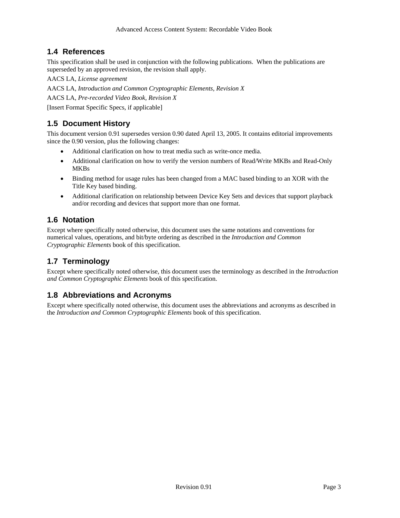#### **1.4 References**

This specification shall be used in conjunction with the following publications. When the publications are superseded by an approved revision, the revision shall apply.

AACS LA, *License agreement* 

AACS LA, *Introduction and Common Cryptographic Elements, Revision X*

AACS LA, *Pre-recorded Video Book, Revision X*

[Insert Format Specific Specs, if applicable]

### **1.5 Document History**

This document version 0.91 supersedes version 0.90 dated April 13, 2005. It contains editorial improvements since the 0.90 version, plus the following changes:

- Additional clarification on how to treat media such as write-once media.
- Additional clarification on how to verify the version numbers of Read/Write MKBs and Read-Only MKBs
- Binding method for usage rules has been changed from a MAC based binding to an XOR with the Title Key based binding.
- Additional clarification on relationship between Device Key Sets and devices that support playback and/or recording and devices that support more than one format.

#### **1.6 Notation**

Except where specifically noted otherwise, this document uses the same notations and conventions for numerical values, operations, and bit/byte ordering as described in the *Introduction and Common Cryptographic Elements* book of this specification.

### **1.7 Terminology**

Except where specifically noted otherwise, this document uses the terminology as described in the *Introduction and Common Cryptographic Elements* book of this specification.

#### **1.8 Abbreviations and Acronyms**

Except where specifically noted otherwise, this document uses the abbreviations and acronyms as described in the *Introduction and Common Cryptographic Elements* book of this specification.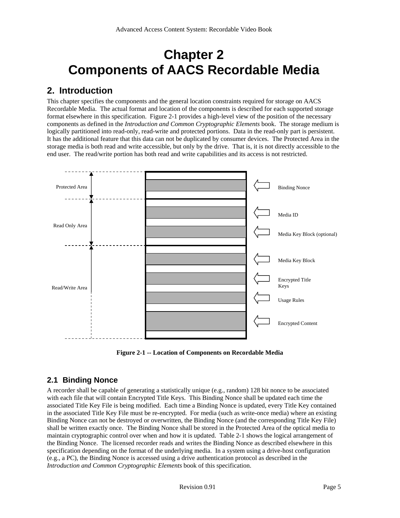## **Chapter 2 Components of AACS Recordable Media**

### **2. Introduction**

This chapter specifies the components and the general location constraints required for storage on AACS Recordable Media. The actual format and location of the components is described for each supported storage format elsewhere in this specification. Figure 2-1 provides a high-level view of the position of the necessary components as defined in the *Introduction and Common Cryptographic Elements* book. The storage medium is logically partitioned into read-only, read-write and protected portions. Data in the read-only part is persistent. It has the additional feature that this data can not be duplicated by consumer devices. The Protected Area in the storage media is both read and write accessible, but only by the drive. That is, it is not directly accessible to the end user. The read/write portion has both read and write capabilities and its access is not restricted.



**Figure 2-1 -- Location of Components on Recordable Media** 

#### **2.1 Binding Nonce**

A recorder shall be capable of generating a statistically unique (e.g., random) 128 bit nonce to be associated with each file that will contain Encrypted Title Keys. This Binding Nonce shall be updated each time the associated Title Key File is being modified. Each time a Binding Nonce is updated, every Title Key contained in the associated Title Key File must be re-encrypted. For media (such as write-once media) where an existing Binding Nonce can not be destroyed or overwritten, the Binding Nonce (and the corresponding Title Key File) shall be written exactly once. The Binding Nonce shall be stored in the Protected Area of the optical media to maintain cryptographic control over when and how it is updated. Table 2-1 shows the logical arrangement of the Binding Nonce. The licensed recorder reads and writes the Binding Nonce as described elsewhere in this specification depending on the format of the underlying media. In a system using a drive-host configuration (e.g., a PC), the Binding Nonce is accessed using a drive authentication protocol as described in the *Introduction and Common Cryptographic Elements* book of this specification.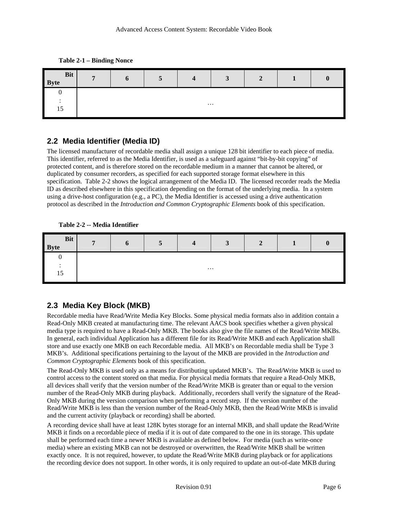**Table 2-1 – Binding Nonce** 

| Bit<br><b>Byte</b><br>Ι | $\mathbf{r}$ | D | 5 | Δ<br>- | $\sqrt{2}$<br>◡ | <b>A</b><br>∠ |  |  |
|-------------------------|--------------|---|---|--------|-----------------|---------------|--|--|
|                         |              |   |   |        |                 |               |  |  |
|                         | $\cdots$     |   |   |        |                 |               |  |  |
| 15                      |              |   |   |        |                 |               |  |  |

#### **2.2 Media Identifier (Media ID)**

The licensed manufacturer of recordable media shall assign a unique 128 bit identifier to each piece of media. This identifier, referred to as the Media Identifier, is used as a safeguard against "bit-by-bit copying" of protected content, and is therefore stored on the recordable medium in a manner that cannot be altered, or duplicated by consumer recorders, as specified for each supported storage format elsewhere in this specification. Table 2-2 shows the logical arrangement of the Media ID. The licensed recorder reads the Media ID as described elsewhere in this specification depending on the format of the underlying media. In a system using a drive-host configuration (e.g., a PC), the Media Identifier is accessed using a drive authentication protocol as described in the *Introduction and Common Cryptographic Elements* book of this specification.

#### **Table 2-2 -- Media Identifier**

| <b>Bit</b><br><b>Byte</b> | $\mathbf{r}$ | $\mathbf b$ | $\overline{ }$<br>$\mathbf{c}$ | $\overline{\mathbf{4}}$ | $\mathbf{a}$<br>◡ | $\mathbf{\hat{}}$<br>◢ |  |  |
|---------------------------|--------------|-------------|--------------------------------|-------------------------|-------------------|------------------------|--|--|
|                           |              |             |                                |                         |                   |                        |  |  |
|                           | $\cdots$     |             |                                |                         |                   |                        |  |  |
| 15                        |              |             |                                |                         |                   |                        |  |  |

#### **2.3 Media Key Block (MKB)**

Recordable media have Read/Write Media Key Blocks. Some physical media formats also in addition contain a Read-Only MKB created at manufacturing time. The relevant AACS book specifies whether a given physical media type is required to have a Read-Only MKB. The books also give the file names of the Read/Write MKBs. In general, each individual Application has a different file for its Read/Write MKB and each Application shall store and use exactly one MKB on each Recordable media. All MKB's on Recordable media shall be Type 3 MKB's. Additional specifications pertaining to the layout of the MKB are provided in the *Introduction and Common Cryptographic Elements* book of this specification.

The Read-Only MKB is used only as a means for distributing updated MKB's. The Read/Write MKB is used to control access to the content stored on that media. For physical media formats that require a Read-Only MKB, all devices shall verify that the version number of the Read/Write MKB is greater than or equal to the version number of the Read-Only MKB during playback. Additionally, recorders shall verify the signature of the Read-Only MKB during the version comparison when performing a record step. If the version number of the Read/Write MKB is less than the version number of the Read-Only MKB, then the Read/Write MKB is invalid and the current activity (playback or recording) shall be aborted.

A recording device shall have at least 128K bytes storage for an internal MKB, and shall update the Read/Write MKB it finds on a recordable piece of media if it is out of date compared to the one in its storage. This update shall be performed each time a newer MKB is available as defined below. For media (such as write-once media) where an existing MKB can not be destroyed or overwritten, the Read/Write MKB shall be written exactly once. It is not required, however, to update the Read/Write MKB during playback or for applications the recording device does not support. In other words, it is only required to update an out-of-date MKB during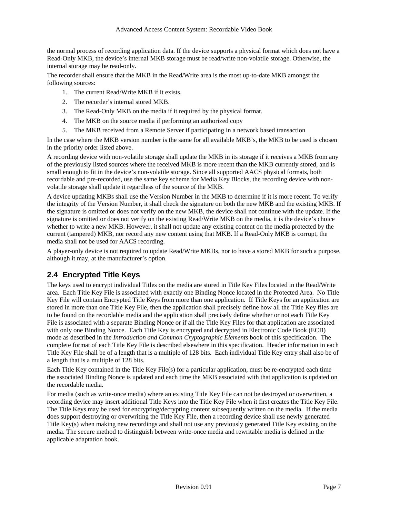the normal process of recording application data. If the device supports a physical format which does not have a Read-Only MKB, the device's internal MKB storage must be read/write non-volatile storage. Otherwise, the internal storage may be read-only.

The recorder shall ensure that the MKB in the Read/Write area is the most up-to-date MKB amongst the following sources:

- 1. The current Read/Write MKB if it exists.
- 2. The recorder's internal stored MKB.
- 3. The Read-Only MKB on the media if it required by the physical format.
- 4. The MKB on the source media if performing an authorized copy
- 5. The MKB received from a Remote Server if participating in a network based transaction

In the case where the MKB version number is the same for all available MKB's, the MKB to be used is chosen in the priority order listed above.

A recording device with non-volatile storage shall update the MKB in its storage if it receives a MKB from any of the previously listed sources where the received MKB is more recent than the MKB currently stored, and is small enough to fit in the device's non-volatile storage. Since all supported AACS physical formats, both recordable and pre-recorded, use the same key scheme for Media Key Blocks, the recording device with nonvolatile storage shall update it regardless of the source of the MKB.

A device updating MKBs shall use the Version Number in the MKB to determine if it is more recent. To verify the integrity of the Version Number, it shall check the signature on both the new MKB and the existing MKB. If the signature is omitted or does not verify on the new MKB, the device shall not continue with the update. If the signature is omitted or does not verify on the existing Read/Write MKB on the media, it is the device's choice whether to write a new MKB. However, it shall not update any existing content on the media protected by the current (tampered) MKB, nor record any new content using that MKB. If a Read-Only MKB is corrupt, the media shall not be used for AACS recording.

A player-only device is not required to update Read/Write MKBs, nor to have a stored MKB for such a purpose, although it may, at the manufacturer's option.

#### **2.4 Encrypted Title Keys**

The keys used to encrypt individual Titles on the media are stored in Title Key Files located in the Read/Write area. Each Title Key File is associated with exactly one Binding Nonce located in the Protected Area. No Title Key File will contain Encrypted Title Keys from more than one application. If Title Keys for an application are stored in more than one Title Key File, then the application shall precisely define how all the Title Key files are to be found on the recordable media and the application shall precisely define whether or not each Title Key File is associated with a separate Binding Nonce or if all the Title Key Files for that application are associated with only one Binding Nonce. Each Title Key is encrypted and decrypted in Electronic Code Book (ECB) mode as described in the *Introduction and Common Cryptographic Elements* book of this specification. The complete format of each Title Key File is described elsewhere in this specification. Header information in each Title Key File shall be of a length that is a multiple of 128 bits. Each individual Title Key entry shall also be of a length that is a multiple of 128 bits.

Each Title Key contained in the Title Key File(s) for a particular application, must be re-encrypted each time the associated Binding Nonce is updated and each time the MKB associated with that application is updated on the recordable media.

For media (such as write-once media) where an existing Title Key File can not be destroyed or overwritten, a recording device may insert additional Title Keys into the Title Key File when it first creates the Title Key File. The Title Keys may be used for encrypting/decrypting content subsequently written on the media. If the media does support destroying or overwriting the Title Key File, then a recording device shall use newly generated Title Key(s) when making new recordings and shall not use any previously generated Title Key existing on the media. The secure method to distinguish between write-once media and rewritable media is defined in the applicable adaptation book.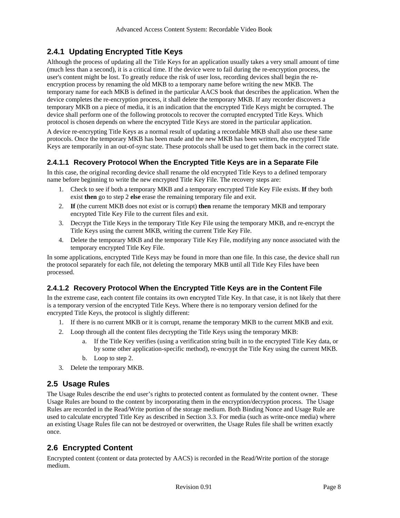#### **2.4.1 Updating Encrypted Title Keys**

Although the process of updating all the Title Keys for an application usually takes a very small amount of time (much less than a second), it is a critical time. If the device were to fail during the re-encryption process, the user's content might be lost. To greatly reduce the risk of user loss, recording devices shall begin the reencryption process by renaming the old MKB to a temporary name before writing the new MKB. The temporary name for each MKB is defined in the particular AACS book that describes the application. When the device completes the re-encryption process, it shall delete the temporary MKB. If any recorder discovers a temporary MKB on a piece of media, it is an indication that the encrypted Title Keys might be corrupted. The device shall perform one of the following protocols to recover the corrupted encrypted Title Keys. Which protocol is chosen depends on where the encrypted Title Keys are stored in the particular application.

A device re-encrypting Title Keys as a normal result of updating a recordable MKB shall also use these same protocols. Once the temporary MKB has been made and the new MKB has been written, the encrypted Title Keys are temporarily in an out-of-sync state. These protocols shall be used to get them back in the correct state.

#### **2.4.1.1 Recovery Protocol When the Encrypted Title Keys are in a Separate File**

In this case, the original recording device shall rename the old encrypted Title Keys to a defined temporary name before beginning to write the new encrypted Title Key File. The recovery steps are:

- 1. Check to see if both a temporary MKB and a temporary encrypted Title Key File exists. **If** they both exist **then** go to step 2 **else** erase the remaining temporary file and exit.
- 2. **If** (the current MKB does not exist or is corrupt) **then** rename the temporary MKB and temporary encrypted Title Key File to the current files and exit.
- 3. Decrypt the Title Keys in the temporary Title Key File using the temporary MKB, and re-encrypt the Title Keys using the current MKB, writing the current Title Key File.
- 4. Delete the temporary MKB and the temporary Title Key File, modifying any nonce associated with the temporary encrypted Title Key File.

In some applications, encrypted Title Keys may be found in more than one file. In this case, the device shall run the protocol separately for each file, not deleting the temporary MKB until all Title Key Files have been processed.

#### **2.4.1.2 Recovery Protocol When the Encrypted Title Keys are in the Content File**

In the extreme case, each content file contains its own encrypted Title Key. In that case, it is not likely that there is a temporary version of the encrypted Title Keys. Where there is no temporary version defined for the encrypted Title Keys, the protocol is slightly different:

- 1. If there is no current MKB or it is corrupt, rename the temporary MKB to the current MKB and exit.
- 2. Loop through all the content files decrypting the Title Keys using the temporary MKB:
	- a. If the Title Key verifies (using a verification string built in to the encrypted Title Key data, or by some other application-specific method), re-encrypt the Title Key using the current MKB.
	- b. Loop to step 2.
- 3. Delete the temporary MKB.

#### **2.5 Usage Rules**

The Usage Rules describe the end user's rights to protected content as formulated by the content owner. These Usage Rules are bound to the content by incorporating them in the encryption/decryption process. The Usage Rules are recorded in the Read/Write portion of the storage medium. Both Binding Nonce and Usage Rule are used to calculate encrypted Title Key as described in Section 3.3. For media (such as write-once media) where an existing Usage Rules file can not be destroyed or overwritten, the Usage Rules file shall be written exactly once.

#### **2.6 Encrypted Content**

Encrypted content (content or data protected by AACS) is recorded in the Read/Write portion of the storage medium.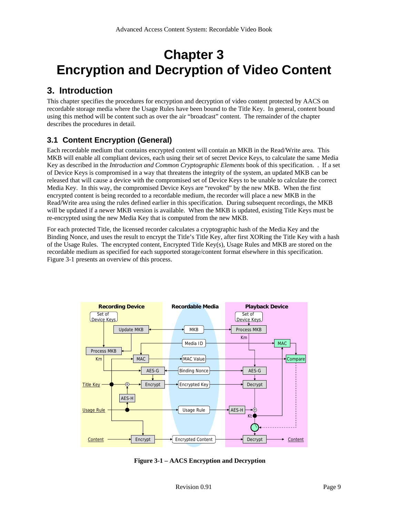## **Chapter 3 Encryption and Decryption of Video Content**

### **3. Introduction**

This chapter specifies the procedures for encryption and decryption of video content protected by AACS on recordable storage media where the Usage Rules have been bound to the Title Key. In general, content bound using this method will be content such as over the air "broadcast" content. The remainder of the chapter describes the procedures in detail.

### **3.1 Content Encryption (General)**

Each recordable medium that contains encrypted content will contain an MKB in the Read/Write area. This MKB will enable all compliant devices, each using their set of secret Device Keys, to calculate the same Media Key as described in the *Introduction and Common Cryptographic Elements* book of this specification. . If a set of Device Keys is compromised in a way that threatens the integrity of the system, an updated MKB can be released that will cause a device with the compromised set of Device Keys to be unable to calculate the correct Media Key. In this way, the compromised Device Keys are "revoked" by the new MKB. When the first encrypted content is being recorded to a recordable medium, the recorder will place a new MKB in the Read/Write area using the rules defined earlier in this specification. During subsequent recordings, the MKB will be updated if a newer MKB version is available. When the MKB is updated, existing Title Keys must be re-encrypted using the new Media Key that is computed from the new MKB.

For each protected Title, the licensed recorder calculates a cryptographic hash of the Media Key and the Binding Nonce, and uses the result to encrypt the Title's Title Key, after first XORing the Title Key with a hash of the Usage Rules. The encrypted content, Encrypted Title Key(s), Usage Rules and MKB are stored on the recordable medium as specified for each supported storage/content format elsewhere in this specification. Figure 3-1 presents an overview of this process.



**Figure 3-1 – AACS Encryption and Decryption**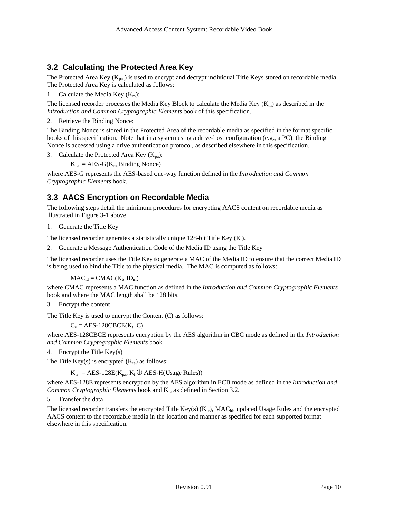#### **3.2 Calculating the Protected Area Key**

The Protected Area Key ( $K_{pa}$ ) is used to encrypt and decrypt individual Title Keys stored on recordable media. The Protected Area Key is calculated as follows:

1. Calculate the Media Key  $(K_m)$ :

The licensed recorder processes the Media Key Block to calculate the Media Key ( $K_m$ ) as described in the *Introduction and Common Cryptographic Elements* book of this specification.

2. Retrieve the Binding Nonce:

The Binding Nonce is stored in the Protected Area of the recordable media as specified in the format specific books of this specification. Note that in a system using a drive-host configuration (e.g., a PC), the Binding Nonce is accessed using a drive authentication protocol, as described elsewhere in this specification.

3. Calculate the Protected Area Key  $(K_{pa})$ :

 $K_{pa} = AES-G(K_{m}$  Binding Nonce)

where AES-G represents the AES-based one-way function defined in the *Introduction and Common Cryptographic Elements* book.

#### **3.3 AACS Encryption on Recordable Media**

The following steps detail the minimum procedures for encrypting AACS content on recordable media as illustrated in Figure 3-1 above.

1. Generate the Title Key

The licensed recorder generates a statistically unique 128-bit Title Key  $(K_t)$ .

2. Generate a Message Authentication Code of the Media ID using the Title Key

The licensed recorder uses the Title Key to generate a MAC of the Media ID to ensure that the correct Media ID is being used to bind the Title to the physical media. The MAC is computed as follows:

 $MAC_{id} = CMAC(K_t, ID_m)$ 

where CMAC represents a MAC function as defined in the *Introduction and Common Cryptographic Elements* book and where the MAC length shall be 128 bits.

3. Encrypt the content

The Title Key is used to encrypt the Content (C) as follows:

 $C_e = AES-128CBCE(K_t, C)$ 

where AES-128CBCE represents encryption by the AES algorithm in CBC mode as defined in the *Introduction and Common Cryptographic Elements* book.

4. Encrypt the Title Key(s)

The Title Key(s) is encrypted  $(K_{te})$  as follows:

 $K_{te}$  = AES-128E( $K_{pa}$ ,  $K_t \oplus$  AES-H(Usage Rules))

where AES-128E represents encryption by the AES algorithm in ECB mode as defined in the *Introduction and Common Cryptographic Elements* book and  $K_{pa}$  as defined in Section 3.2.

5. Transfer the data

The licensed recorder transfers the encrypted Title Key(s)  $(K_{te})$ , MAC<sub>id</sub>, updated Usage Rules and the encrypted AACS content to the recordable media in the location and manner as specified for each supported format elsewhere in this specification.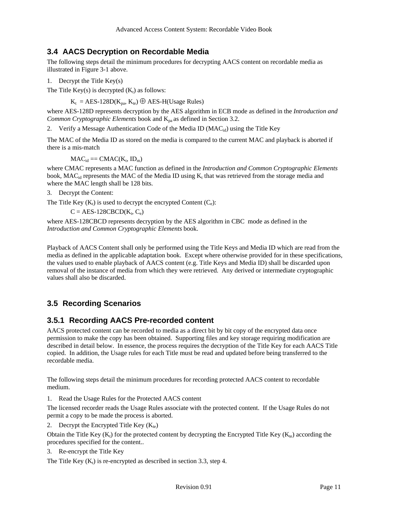#### **3.4 AACS Decryption on Recordable Media**

The following steps detail the minimum procedures for decrypting AACS content on recordable media as illustrated in Figure 3-1 above.

1. Decrypt the Title Key(s)

The Title Key(s) is decrypted  $(K_t)$  as follows:

 $K_t = AES-128D(K_{pa}, K_{te}) \bigoplus AES-H(Usage Rules)$ 

where AES-128D represents decryption by the AES algorithm in ECB mode as defined in the *Introduction and Common Cryptographic Elements* book and  $K_{pa}$  as defined in Section 3.2.

2. Verify a Message Authentication Code of the Media ID ( $MAC_{id}$ ) using the Title Key

The MAC of the Media ID as stored on the media is compared to the current MAC and playback is aborted if there is a mis-match

 $MAC_{id} == CMAC(K_t, ID_m)$ 

where CMAC represents a MAC function as defined in the *Introduction and Common Cryptographic Elements* book,  $MAC_{id}$  represents the MAC of the Media ID using  $K_t$  that was retrieved from the storage media and where the MAC length shall be 128 bits.

3. Decrypt the Content:

The Title Key  $(K_t)$  is used to decrypt the encrypted Content  $(C_e)$ :

 $C = AES-128CBCD(K_t, C_e)$ 

where AES-128CBCD represents decryption by the AES algorithm in CBC mode as defined in the *Introduction and Common Cryptographic Elements* book.

Playback of AACS Content shall only be performed using the Title Keys and Media ID which are read from the media as defined in the applicable adaptation book. Except where otherwise provided for in these specifications, the values used to enable playback of AACS content (e.g. Title Keys and Media ID) shall be discarded upon removal of the instance of media from which they were retrieved. Any derived or intermediate cryptographic values shall also be discarded.

#### **3.5 Recording Scenarios**

#### **3.5.1 Recording AACS Pre-recorded content**

AACS protected content can be recorded to media as a direct bit by bit copy of the encrypted data once permission to make the copy has been obtained. Supporting files and key storage requiring modification are described in detail below. In essence, the process requires the decryption of the Title Key for each AACS Title copied. In addition, the Usage rules for each Title must be read and updated before being transferred to the recordable media.

The following steps detail the minimum procedures for recording protected AACS content to recordable medium.

1. Read the Usage Rules for the Protected AACS content

The licensed recorder reads the Usage Rules associate with the protected content. If the Usage Rules do not permit a copy to be made the process is aborted.

2. Decrypt the Encrypted Title Key  $(K_{te})$ 

Obtain the Title Key  $(K_t)$  for the protected content by decrypting the Encrypted Title Key  $(K_{te})$  according the procedures specified for the content..

3. Re-encrypt the Title Key

The Title Key  $(K_t)$  is re-encrypted as described in section 3.3, step 4.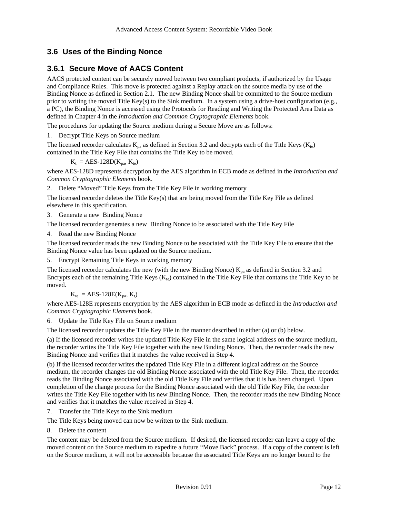### **3.6 Uses of the Binding Nonce**

### **3.6.1 Secure Move of AACS Content**

AACS protected content can be securely moved between two compliant products, if authorized by the Usage and Compliance Rules. This move is protected against a Replay attack on the source media by use of the Binding Nonce as defined in Section 2.1. The new Binding Nonce shall be committed to the Source medium prior to writing the moved Title Key(s) to the Sink medium. In a system using a drive-host configuration (e.g., a PC), the Binding Nonce is accessed using the Protocols for Reading and Writing the Protected Area Data as defined in Chapter 4 in the *Introduction and Common Cryptographic Elements* book.

The procedures for updating the Source medium during a Secure Move are as follows:

1. Decrypt Title Keys on Source medium

The licensed recorder calculates  $K_{pa}$  as defined in Section 3.2 and decrypts each of the Title Keys ( $K_{te}$ ) contained in the Title Key File that contains the Title Key to be moved.

$$
K_t = AES-128D(K_{pa}, K_{te})
$$

where AES-128D represents decryption by the AES algorithm in ECB mode as defined in the *Introduction and Common Cryptographic Elements* book.

2. Delete "Moved" Title Keys from the Title Key File in working memory

The licensed recorder deletes the Title Key(s) that are being moved from the Title Key File as defined elsewhere in this specification.

3. Generate a new Binding Nonce

The licensed recorder generates a new Binding Nonce to be associated with the Title Key File

4. Read the new Binding Nonce

The licensed recorder reads the new Binding Nonce to be associated with the Title Key File to ensure that the Binding Nonce value has been updated on the Source medium.

5. Encrypt Remaining Title Keys in working memory

The licensed recorder calculates the new (with the new Binding Nonce)  $K_{pa}$  as defined in Section 3.2 and Encrypts each of the remaining Title Keys ( $K_{te}$ ) contained in the Title Key File that contains the Title Key to be moved.

 $K_{te} = AES-128E(K_{na}, K_t)$ 

where AES-128E represents encryption by the AES algorithm in ECB mode as defined in the *Introduction and Common Cryptographic Elements* book.

6. Update the Title Key File on Source medium

The licensed recorder updates the Title Key File in the manner described in either (a) or (b) below.

(a) If the licensed recorder writes the updated Title Key File in the same logical address on the source medium, the recorder writes the Title Key File together with the new Binding Nonce. Then, the recorder reads the new Binding Nonce and verifies that it matches the value received in Step 4.

(b) If the licensed recorder writes the updated Title Key File in a different logical address on the Source medium, the recorder changes the old Binding Nonce associated with the old Title Key File. Then, the recorder reads the Binding Nonce associated with the old Title Key File and verifies that it is has been changed. Upon completion of the change process for the Binding Nonce associated with the old Title Key File, the recorder writes the Title Key File together with its new Binding Nonce. Then, the recorder reads the new Binding Nonce and verifies that it matches the value received in Step 4.

7. Transfer the Title Keys to the Sink medium

The Title Keys being moved can now be written to the Sink medium.

8. Delete the content

The content may be deleted from the Source medium. If desired, the licensed recorder can leave a copy of the moved content on the Source medium to expedite a future "Move Back" process. If a copy of the content is left on the Source medium, it will not be accessible because the associated Title Keys are no longer bound to the